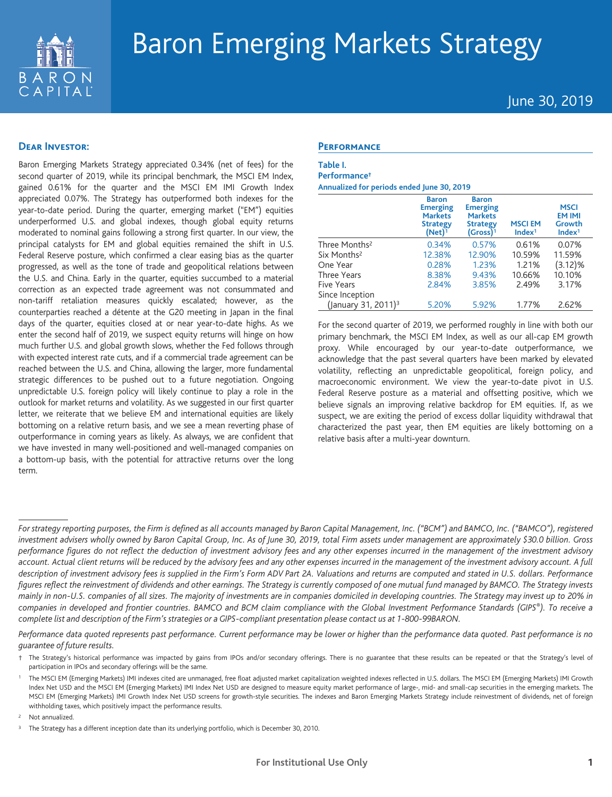

# Baron Emerging Markets Strategy

June 30, 2019

## **Dear Investor:**

Baron Emerging Markets Strategy appreciated 0.34% (net of fees) for the second quarter of 2019, while its principal benchmark, the MSCI EM Index, gained 0.61% for the quarter and the MSCI EM IMI Growth Index appreciated 0.07%. The Strategy has outperformed both indexes for the year-to-date period. During the quarter, emerging market ("EM") equities underperformed U.S. and global indexes, though global equity returns moderated to nominal gains following a strong first quarter. In our view, the principal catalysts for EM and global equities remained the shift in U.S. Federal Reserve posture, which confirmed a clear easing bias as the quarter progressed, as well as the tone of trade and geopolitical relations between the U.S. and China. Early in the quarter, equities succumbed to a material correction as an expected trade agreement was not consummated and non-tariff retaliation measures quickly escalated; however, as the counterparties reached a détente at the G20 meeting in Japan in the final days of the quarter, equities closed at or near year-to-date highs. As we enter the second half of 2019, we suspect equity returns will hinge on how much further U.S. and global growth slows, whether the Fed follows through with expected interest rate cuts, and if a commercial trade agreement can be reached between the U.S. and China, allowing the larger, more fundamental strategic differences to be pushed out to a future negotiation. Ongoing unpredictable U.S. foreign policy will likely continue to play a role in the outlook for market returns and volatility. As we suggested in our first quarter letter, we reiterate that we believe EM and international equities are likely bottoming on a relative return basis, and we see a mean reverting phase of outperformance in coming years as likely. As always, we are confident that we have invested in many well-positioned and well-managed companies on a bottom-up basis, with the potential for attractive returns over the long term.

#### **Performance**

| Table I. |  |
|----------|--|
|          |  |

**Performance† Annualized for periods ended June 30, 2019**

|                                 | <b>Baron</b><br><b>Emerging</b><br><b>Markets</b><br><b>Strategy</b><br>$(Net)^1$ | <b>Baron</b><br><b>Emerging</b><br><b>Markets</b><br><b>Strategy</b><br>$(Gross)^1$ | <b>MSCIEM</b><br>Index <sup>1</sup> | <b>MSCI</b><br><b>EM IMI</b><br>Growth<br>Index <sup>1</sup> |
|---------------------------------|-----------------------------------------------------------------------------------|-------------------------------------------------------------------------------------|-------------------------------------|--------------------------------------------------------------|
| Three Months <sup>2</sup>       | 0.34%                                                                             | 0.57%                                                                               | 0.61%                               | 0.07%                                                        |
| Six Months <sup>2</sup>         | 12.38%                                                                            | 12.90%                                                                              | 10.59%                              | 11.59%                                                       |
| One Year                        | 0.28%                                                                             | 1.23%                                                                               | 1.21%                               | $(3.12)\%$                                                   |
| Three Years                     | 8.38%                                                                             | 9.43%                                                                               | 10.66%                              | 10.10%                                                       |
| Five Years                      | 2.84%                                                                             | 3.85%                                                                               | 2.49%                               | 3.17%                                                        |
| Since Inception                 |                                                                                   |                                                                                     |                                     |                                                              |
| (January 31, 2011) <sup>3</sup> | 5.20%                                                                             | 5.92%                                                                               | 1.77%                               | 2.62%                                                        |

For the second quarter of 2019, we performed roughly in line with both our primary benchmark, the MSCI EM Index, as well as our all-cap EM growth proxy. While encouraged by our year-to-date outperformance, we acknowledge that the past several quarters have been marked by elevated volatility, reflecting an unpredictable geopolitical, foreign policy, and macroeconomic environment. We view the year-to-date pivot in U.S. Federal Reserve posture as a material and offsetting positive, which we believe signals an improving relative backdrop for EM equities. If, as we suspect, we are exiting the period of excess dollar liquidity withdrawal that characterized the past year, then EM equities are likely bottoming on a relative basis after a multi-year downturn.

*Performance data quoted represents past performance. Current performance may be lower or higher than the performance data quoted. Past performance is no guarantee of future results.*

Not annualized.

*For strategy reporting purposes, the Firm is defined as all accounts managed by Baron Capital Management, Inc. ("BCM") and BAMCO, Inc. ("BAMCO"), registered investment advisers wholly owned by Baron Capital Group, Inc. As of June 30, 2019, total Firm assets under management are approximately \$30.0 billion. Gross performance figures do not reflect the deduction of investment advisory fees and any other expenses incurred in the management of the investment advisory account. Actual client returns will be reduced by the advisory fees and any other expenses incurred in the management of the investment advisory account. A full description of investment advisory fees is supplied in the Firm's Form ADV Part 2A. Valuations and returns are computed and stated in U.S. dollars. Performance figures reflect the reinvestment of dividends and other earnings. The Strategy is currently composed of one mutual fund managed by BAMCO. The Strategy invests mainly in non-U.S. companies of all sizes. The majority of investments are in companies domiciled in developing countries. The Strategy may invest up to 20% in companies in developed and frontier countries. BAMCO and BCM claim compliance with the Global Investment Performance Standards (GIPS®). To receive a complete list and description of the Firm's strategies or a GIPS-compliant presentation please contact us at 1-800-99BARON.*

<sup>†</sup> The Strategy's historical performance was impacted by gains from IPOs and/or secondary offerings. There is no guarantee that these results can be repeated or that the Strategy's level of participation in IPOs and secondary offerings will be the same.

<sup>1</sup> The MSCI EM (Emerging Markets) IMI indexes cited are unmanaged, free float adjusted market capitalization weighted indexes reflected in U.S. dollars. The MSCI EM (Emerging Markets) IMI Growth Index Net USD and the MSCI EM (Emerging Markets) IMI Index Net USD are designed to measure equity market performance of large-, mid- and small-cap securities in the emerging markets. The MSCI EM (Emerging Markets) IMI Growth Index Net USD screens for growth-style securities. The indexes and Baron Emerging Markets Strategy include reinvestment of dividends, net of foreign withholding taxes, which positively impact the performance results.

The Strategy has a different inception date than its underlying portfolio, which is December 30, 2010.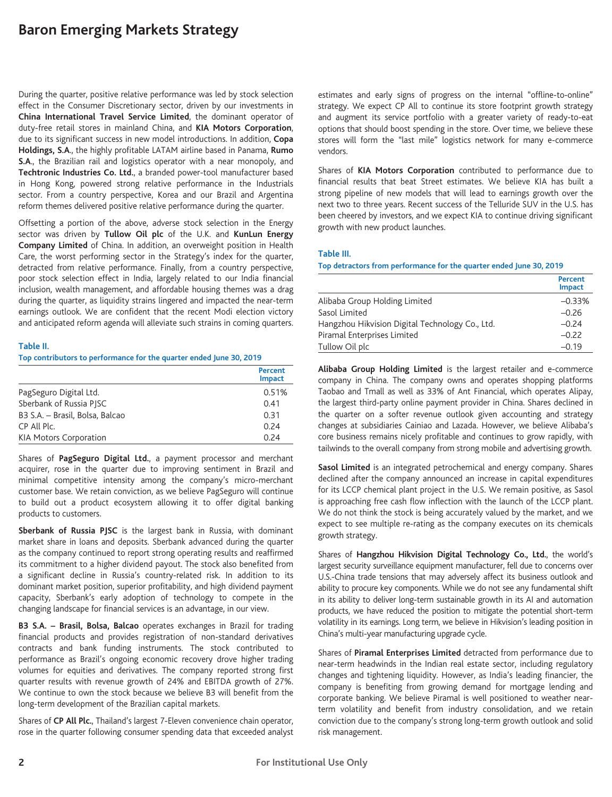# **Baron Emerging Markets Strategy**

During the quarter, positive relative performance was led by stock selection effect in the Consumer Discretionary sector, driven by our investments in **China International Travel Service Limited**, the dominant operator of duty-free retail stores in mainland China, and **KIA Motors Corporation**, due to its significant success in new model introductions. In addition, **Copa Holdings, S.A**., the highly profitable LATAM airline based in Panama, **Rumo S.A**., the Brazilian rail and logistics operator with a near monopoly, and **Techtronic Industries Co. Ltd.**, a branded power-tool manufacturer based in Hong Kong, powered strong relative performance in the Industrials sector. From a country perspective, Korea and our Brazil and Argentina reform themes delivered positive relative performance during the quarter.

Offsetting a portion of the above, adverse stock selection in the Energy sector was driven by **Tullow Oil plc** of the U.K. and **KunLun Energy Company Limited** of China. In addition, an overweight position in Health Care, the worst performing sector in the Strategy's index for the quarter, detracted from relative performance. Finally, from a country perspective, poor stock selection effect in India, largely related to our India financial inclusion, wealth management, and affordable housing themes was a drag during the quarter, as liquidity strains lingered and impacted the near-term earnings outlook. We are confident that the recent Modi election victory and anticipated reform agenda will alleviate such strains in coming quarters.

#### **Table II.**

**Top contributors to performance for the quarter ended June 30, 2019**

|                                 | Percent<br><b>Impact</b> |
|---------------------------------|--------------------------|
| PagSeguro Digital Ltd.          | 0.51%                    |
| Sberbank of Russia PISC         | 0.41                     |
| B3 S.A. - Brasil, Bolsa, Balcao | 0.31                     |
| CP All Plc.                     | 0.24                     |
| <b>KIA Motors Corporation</b>   | 0.24                     |

Shares of **PagSeguro Digital Ltd.**, a payment processor and merchant acquirer, rose in the quarter due to improving sentiment in Brazil and minimal competitive intensity among the company's micro-merchant customer base. We retain conviction, as we believe PagSeguro will continue to build out a product ecosystem allowing it to offer digital banking products to customers.

**Sberbank of Russia PJSC** is the largest bank in Russia, with dominant market share in loans and deposits. Sberbank advanced during the quarter as the company continued to report strong operating results and reaffirmed its commitment to a higher dividend payout. The stock also benefited from a significant decline in Russia's country-related risk. In addition to its dominant market position, superior profitability, and high dividend payment capacity, Sberbank's early adoption of technology to compete in the changing landscape for financial services is an advantage, in our view.

**B3 S.A. – Brasil, Bolsa, Balcao** operates exchanges in Brazil for trading financial products and provides registration of non-standard derivatives contracts and bank funding instruments. The stock contributed to performance as Brazil's ongoing economic recovery drove higher trading volumes for equities and derivatives. The company reported strong first quarter results with revenue growth of 24% and EBITDA growth of 27%. We continue to own the stock because we believe B3 will benefit from the long-term development of the Brazilian capital markets.

Shares of **CP All Plc.**, Thailand's largest 7-Eleven convenience chain operator, rose in the quarter following consumer spending data that exceeded analyst

estimates and early signs of progress on the internal "offline-to-online" strategy. We expect CP All to continue its store footprint growth strategy and augment its service portfolio with a greater variety of ready-to-eat options that should boost spending in the store. Over time, we believe these stores will form the "last mile" logistics network for many e-commerce vendors.

Shares of **KIA Motors Corporation** contributed to performance due to financial results that beat Street estimates. We believe KIA has built a strong pipeline of new models that will lead to earnings growth over the next two to three years. Recent success of the Telluride SUV in the U.S. has been cheered by investors, and we expect KIA to continue driving significant growth with new product launches.

#### **Table III.**

**Top detractors from performance for the quarter ended June 30, 2019**

|                                                 | Percent<br><b>Impact</b> |
|-------------------------------------------------|--------------------------|
| Alibaba Group Holding Limited                   | $-0.33%$                 |
| Sasol Limited                                   | $-0.26$                  |
| Hangzhou Hikvision Digital Technology Co., Ltd. | $-0.24$                  |
| Piramal Enterprises Limited                     | $-0.22$                  |
| Tullow Oil plc                                  | $-0.19$                  |

**Alibaba Group Holding Limited** is the largest retailer and e-commerce company in China. The company owns and operates shopping platforms Taobao and Tmall as well as 33% of Ant Financial, which operates Alipay, the largest third-party online payment provider in China. Shares declined in the quarter on a softer revenue outlook given accounting and strategy changes at subsidiaries Cainiao and Lazada. However, we believe Alibaba's core business remains nicely profitable and continues to grow rapidly, with tailwinds to the overall company from strong mobile and advertising growth.

**Sasol Limited** is an integrated petrochemical and energy company. Shares declined after the company announced an increase in capital expenditures for its LCCP chemical plant project in the U.S. We remain positive, as Sasol is approaching free cash flow inflection with the launch of the LCCP plant. We do not think the stock is being accurately valued by the market, and we expect to see multiple re-rating as the company executes on its chemicals growth strategy.

Shares of **Hangzhou Hikvision Digital Technology Co., Ltd.**, the world's largest security surveillance equipment manufacturer, fell due to concerns over U.S.-China trade tensions that may adversely affect its business outlook and ability to procure key components. While we do not see any fundamental shift in its ability to deliver long-term sustainable growth in its AI and automation products, we have reduced the position to mitigate the potential short-term volatility in its earnings. Long term, we believe in Hikvision's leading position in China's multi-year manufacturing upgrade cycle.

Shares of **Piramal Enterprises Limited** detracted from performance due to near-term headwinds in the Indian real estate sector, including regulatory changes and tightening liquidity. However, as India's leading financier, the company is benefiting from growing demand for mortgage lending and corporate banking. We believe Piramal is well positioned to weather nearterm volatility and benefit from industry consolidation, and we retain conviction due to the company's strong long-term growth outlook and solid risk management.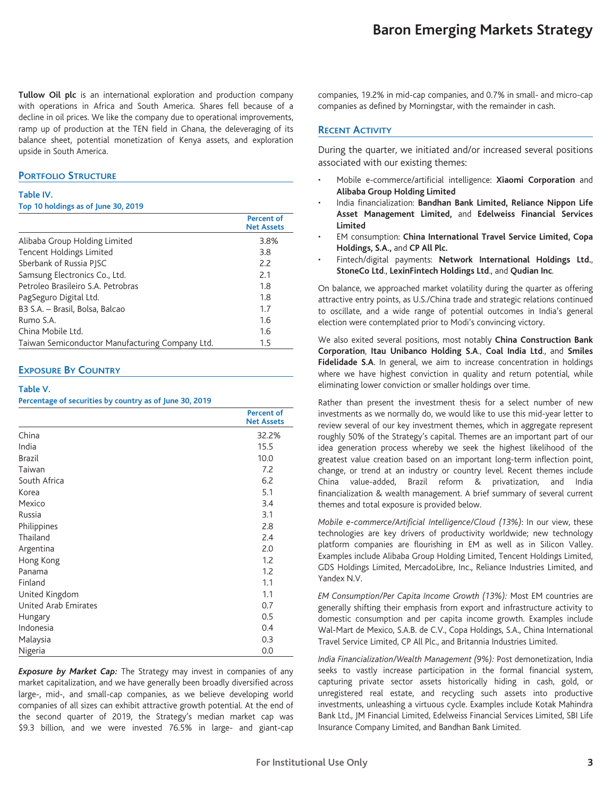**Tullow Oil plc** is an international exploration and production company with operations in Africa and South America. Shares fell because of a decline in oil prices. We like the company due to operational improvements, ramp up of production at the TEN field in Ghana, the deleveraging of its balance sheet, potential monetization of Kenya assets, and exploration upside in South America.

## **PORTFOLIO STRUCTURE**

#### **Table IV.**

#### **Top 10 holdings as of June 30, 2019**

|                                                 | Percent of<br><b>Net Assets</b> |
|-------------------------------------------------|---------------------------------|
| Alibaba Group Holding Limited                   | 3.8%                            |
| <b>Tencent Holdings Limited</b>                 | 3.8                             |
| Sberbank of Russia PISC                         | 2.2                             |
| Samsung Electronics Co., Ltd.                   | 2.1                             |
| Petroleo Brasileiro S.A. Petrobras              | 1.8                             |
| PagSeguro Digital Ltd.                          | 1.8                             |
| B3 S.A. - Brasil, Bolsa, Balcao                 | 1.7                             |
| Rumo S.A.                                       | 1.6                             |
| China Mobile Ltd.                               | 1.6                             |
| Taiwan Semiconductor Manufacturing Company Ltd. | $1.5\,$                         |

## **EXPOSURE BY COUNTRY**

#### **Table V.**

**Percentage of securities by country as of June 30, 2019**

|                      | <b>Percent of</b><br><b>Net Assets</b> |
|----------------------|----------------------------------------|
| China                | 32.2%                                  |
| India                | 15.5                                   |
| Brazil               | 10.0                                   |
| Taiwan               | 7.2                                    |
| South Africa         | 6.2                                    |
| Korea                | 5.1                                    |
| Mexico               | 3.4                                    |
| Russia               | 3.1                                    |
| Philippines          | 2.8                                    |
| Thailand             | 2.4                                    |
| Argentina            | 2.0                                    |
| Hong Kong            | 1.2                                    |
| Panama               | 1.2                                    |
| Finland              | 1.1                                    |
| United Kingdom       | 1.1                                    |
| United Arab Emirates | 0.7                                    |
| Hungary              | 0.5                                    |
| Indonesia            | 0.4                                    |
| Malaysia             | 0.3                                    |
| Nigeria              | 0.0                                    |

*Exposure by Market Cap:* The Strategy may invest in companies of any market capitalization, and we have generally been broadly diversified across large-, mid-, and small-cap companies, as we believe developing world companies of all sizes can exhibit attractive growth potential. At the end of the second quarter of 2019, the Strategy's median market cap was \$9.3 billion, and we were invested 76.5% in large- and giant-cap

companies, 19.2% in mid-cap companies, and 0.7% in small- and micro-cap companies as defined by Morningstar, with the remainder in cash.

## **RECENT ACTIVITY**

During the quarter, we initiated and/or increased several positions associated with our existing themes:

- Mobile e-commerce/artificial intelligence: **Xiaomi Corporation** and **Alibaba Group Holding Limited**
- India financialization: **Bandhan Bank Limited, Reliance Nippon Life Asset Management Limited,** and **Edelweiss Financial Services Limited**
- EM consumption: **China International Travel Service Limited, Copa Holdings, S.A.,** and **CP All Plc.**
- Fintech/digital payments: **Network International Holdings Ltd.**, **StoneCo Ltd**., **LexinFintech Holdings Ltd**., and **Qudian Inc**.

On balance, we approached market volatility during the quarter as offering attractive entry points, as U.S./China trade and strategic relations continued to oscillate, and a wide range of potential outcomes in India's general election were contemplated prior to Modi's convincing victory.

We also exited several positions, most notably **China Construction Bank Corporation**, **Itau Unibanco Holding S.A**., **Coal India Ltd**., and **Smiles Fidelidade S.A**. In general, we aim to increase concentration in holdings where we have highest conviction in quality and return potential, while eliminating lower conviction or smaller holdings over time.

Rather than present the investment thesis for a select number of new investments as we normally do, we would like to use this mid-year letter to review several of our key investment themes, which in aggregate represent roughly 50% of the Strategy's capital. Themes are an important part of our idea generation process whereby we seek the highest likelihood of the greatest value creation based on an important long-term inflection point, change, or trend at an industry or country level. Recent themes include China value-added, Brazil reform & privatization, and India financialization & wealth management. A brief summary of several current themes and total exposure is provided below.

*Mobile e-commerce/Artificial Intelligence/Cloud (13%)*: In our view, these technologies are key drivers of productivity worldwide; new technology platform companies are flourishing in EM as well as in Silicon Valley. Examples include Alibaba Group Holding Limited, Tencent Holdings Limited, GDS Holdings Limited, MercadoLibre, Inc., Reliance Industries Limited, and Yandex N.V.

*EM Consumption/Per Capita Income Growth (13%):* Most EM countries are generally shifting their emphasis from export and infrastructure activity to domestic consumption and per capita income growth. Examples include Wal-Mart de Mexico, S.A.B. de C.V., Copa Holdings, S.A., China International Travel Service Limited, CP All Plc., and Britannia Industries Limited.

*India Financialization/Wealth Management (9%):* Post demonetization, India seeks to vastly increase participation in the formal financial system, capturing private sector assets historically hiding in cash, gold, or unregistered real estate, and recycling such assets into productive investments, unleashing a virtuous cycle. Examples include Kotak Mahindra Bank Ltd., JM Financial Limited, Edelweiss Financial Services Limited, SBI Life Insurance Company Limited, and Bandhan Bank Limited.